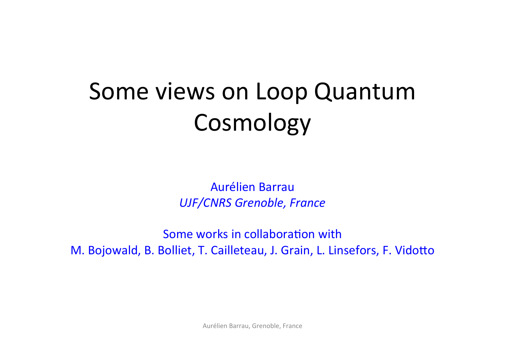# Some views on Loop Quantum Cosmology

Aurélien Barrau *UJF/CNRS Grenoble, France* 

Some works in collaboration with M. Bojowald, B. Bolliet, T. Cailleteau, J. Grain, L. Linsefors, F. Vidotto

Aurélien Barrau, Grenoble, France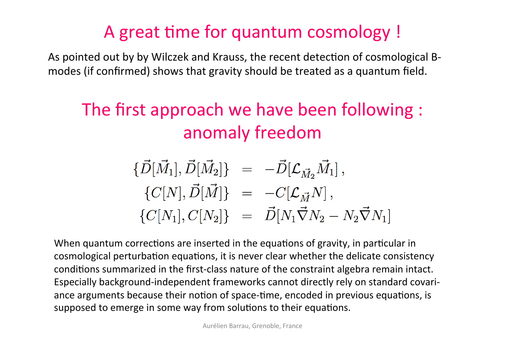# A great time for quantum cosmology !

As pointed out by by Wilczek and Krauss, the recent detection of cosmological Bmodes (if confirmed) shows that gravity should be treated as a quantum field.

# The first approach we have been following : anomaly freedom

$$
\begin{aligned}\n\{\vec{D}[\vec{M}_1], \vec{D}[\vec{M}_2]\} &= -\vec{D}[\mathcal{L}_{\vec{M}_2}\vec{M}_1], \\
\{C[N], \vec{D}[\vec{M}]\} &= -C[\mathcal{L}_{\vec{M}}N], \\
\{C[N_1], C[N_2]\} &= \vec{D}[N_1 \vec{\nabla} N_2 - N_2 \vec{\nabla} N_1]\n\end{aligned}
$$

When quantum corrections are inserted in the equations of gravity, in particular in cosmological perturbation equations, it is never clear whether the delicate consistency conditions summarized in the first-class nature of the constraint algebra remain intact. Especially background-independent frameworks cannot directly rely on standard covariance arguments because their notion of space-time, encoded in previous equations, is supposed to emerge in some way from solutions to their equations.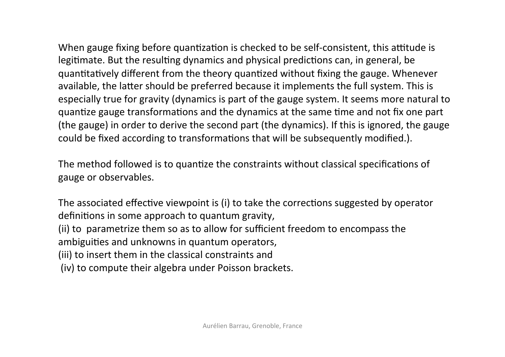When gauge fixing before quantization is checked to be self-consistent, this attitude is legitimate. But the resulting dynamics and physical predictions can, in general, be quantitatively different from the theory quantized without fixing the gauge. Whenever available, the latter should be preferred because it implements the full system. This is especially true for gravity (dynamics is part of the gauge system. It seems more natural to quantize gauge transformations and the dynamics at the same time and not fix one part (the gauge) in order to derive the second part (the dynamics). If this is ignored, the gauge could be fixed according to transformations that will be subsequently modified.).

The method followed is to quantize the constraints without classical specifications of gauge or observables.

The associated effective viewpoint is (i) to take the corrections suggested by operator definitions in some approach to quantum gravity, (ii) to parametrize them so as to allow for sufficient freedom to encompass the ambiguities and unknowns in quantum operators, (iii) to insert them in the classical constraints and

(iv) to compute their algebra under Poisson brackets.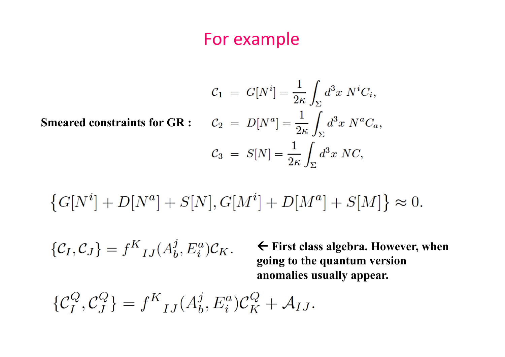### For example

**Smeared constraints for GR :** 

$$
\mathcal{C}_1 = G[N^i] = \frac{1}{2\kappa} \int_{\Sigma} d^3x \ N^i C_i,
$$
  

$$
\mathcal{C}_2 = D[N^a] = \frac{1}{2\kappa} \int_{\Sigma} d^3x \ N^a C_a,
$$
  

$$
\mathcal{C}_3 = S[N] = \frac{1}{2\kappa} \int_{\Sigma} d^3x \ N C,
$$

$$
\{G[N^i] + D[N^a] + S[N], G[M^i] + D[M^a] + S[M]\} \approx 0.
$$

$$
\{\mathcal{C}_I,\mathcal{C}_J\}=f^K{}_{IJ}(A_b^j,E_i^a)\mathcal{C}_K.
$$

! **First class algebra. However, when going to the quantum version anomalies usually appear.**

$$
\{\mathcal{C}_I^Q, \mathcal{C}_J^Q\} = f^K{}_{IJ}(A_b^j, E_i^a)\mathcal{C}_K^Q + \mathcal{A}_{IJ}.
$$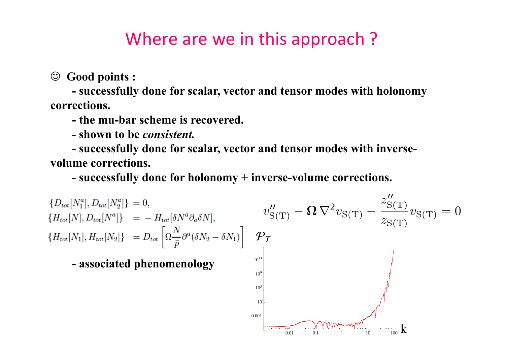### Where are we in this approach?

 $\odot$  Good points :

**- successfully done for scalar, vector and tensor modes with holonomy corrections.** 

**- the mu-bar scheme is recovered.** 

**- shown to be** *consistent.*

*-* **successfully done for scalar, vector and tensor modes with inversevolume corrections.** 

**- successfully done for holonomy + inverse-volume corrections.** 

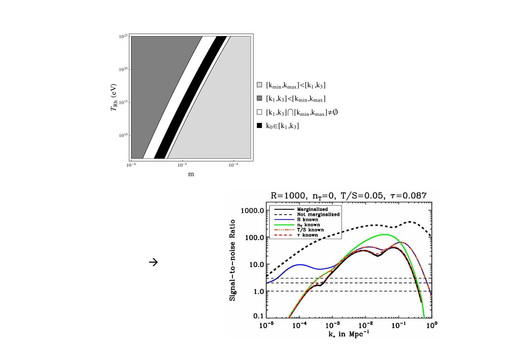



 $\rightarrow$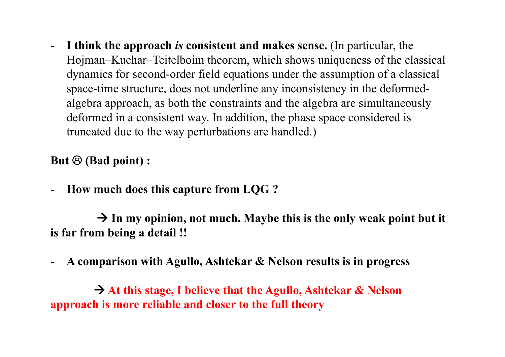- **I think the approach** *is* **consistent and makes sense.** (In particular, the Hojman–Kuchar–Teitelboim theorem, which shows uniqueness of the classical dynamics for second-order field equations under the assumption of a classical space-time structure, does not underline any inconsistency in the deformedalgebra approach, as both the constraints and the algebra are simultaneously deformed in a consistent way. In addition, the phase space considered is truncated due to the way perturbations are handled.)

#### **But**  $\otimes$  **(Bad point):**

- **How much does this capture from LQG ?** 

 $\rightarrow$  In my opinion, not much. Maybe this is the only weak point but it **is far from being a detail !!** 

- **A comparison with Agullo, Ashtekar & Nelson results is in progress** 

→ At this stage, I believe that the Agullo, Ashtekar & Nelson **approach is more reliable and closer to the full theory**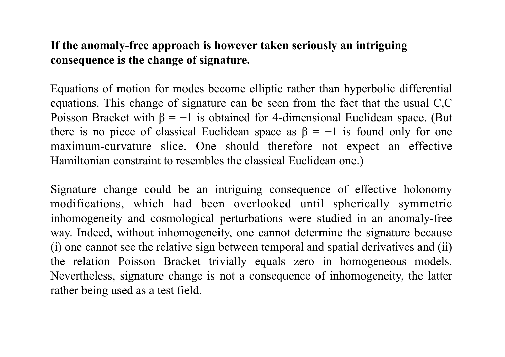#### **If the anomaly-free approach is however taken seriously an intriguing consequence is the change of signature.**

Equations of motion for modes become elliptic rather than hyperbolic differential equations. This change of signature can be seen from the fact that the usual C,C Poisson Bracket with  $\beta = -1$  is obtained for 4-dimensional Euclidean space. (But there is no piece of classical Euclidean space as  $\beta = -1$  is found only for one maximum-curvature slice. One should therefore not expect an effective Hamiltonian constraint to resembles the classical Euclidean one.)

Signature change could be an intriguing consequence of effective holonomy modifications, which had been overlooked until spherically symmetric inhomogeneity and cosmological perturbations were studied in an anomaly-free way. Indeed, without inhomogeneity, one cannot determine the signature because (i) one cannot see the relative sign between temporal and spatial derivatives and (ii) the relation Poisson Bracket trivially equals zero in homogeneous models. Nevertheless, signature change is not a consequence of inhomogeneity, the latter rather being used as a test field.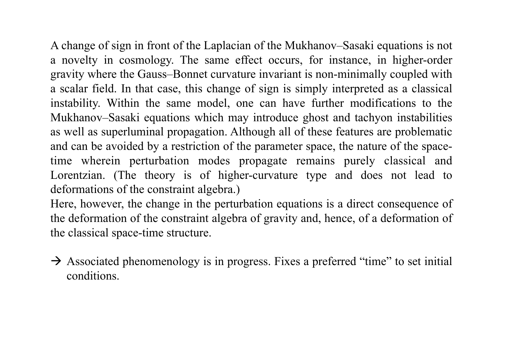A change of sign in front of the Laplacian of the Mukhanov–Sasaki equations is not a novelty in cosmology. The same effect occurs, for instance, in higher-order gravity where the Gauss–Bonnet curvature invariant is non-minimally coupled with a scalar field. In that case, this change of sign is simply interpreted as a classical instability. Within the same model, one can have further modifications to the Mukhanov–Sasaki equations which may introduce ghost and tachyon instabilities as well as superluminal propagation. Although all of these features are problematic and can be avoided by a restriction of the parameter space, the nature of the spacetime wherein perturbation modes propagate remains purely classical and Lorentzian. (The theory is of higher-curvature type and does not lead to deformations of the constraint algebra.)

Here, however, the change in the perturbation equations is a direct consequence of the deformation of the constraint algebra of gravity and, hence, of a deformation of the classical space-time structure.

 $\rightarrow$  Associated phenomenology is in progress. Fixes a preferred "time" to set initial conditions.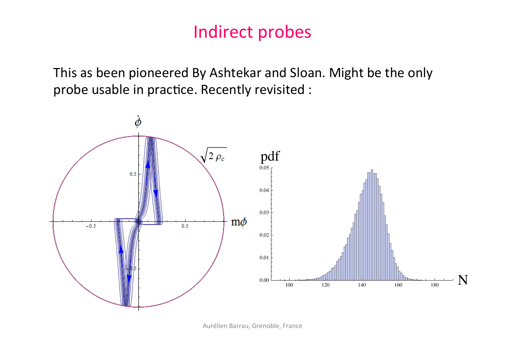## Indirect probes

This as been pioneered By Ashtekar and Sloan. Might be the only probe usable in practice. Recently revisited :



Aurélien Barrau, Grenoble, France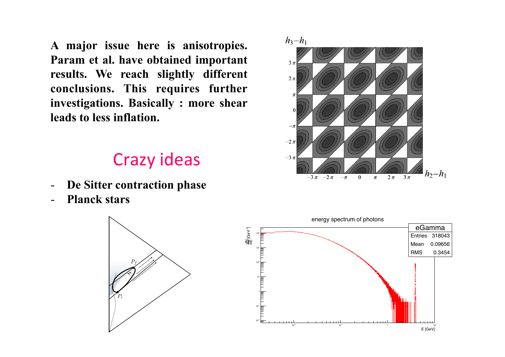**A major issue here is anisotropies. Param et al. have obtained important results. We reach slightly different conclusions. This requires further investigations. Basically : more shear leads to less inflation.** 

# Crazy ideas

- **De Sitter contraction phase** 

*Pf*

*Pi*

- **Planck stars** 

![](_page_10_Figure_4.jpeg)

![](_page_10_Figure_5.jpeg)